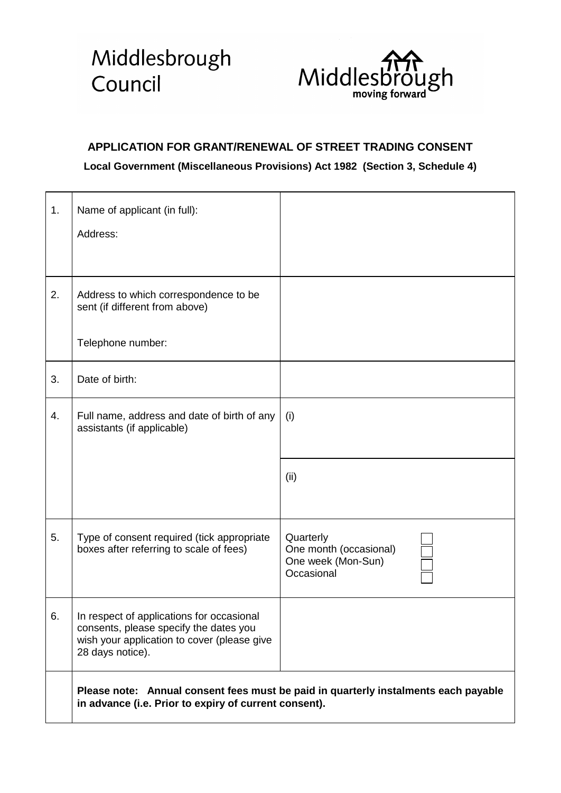## Middlesbrough Council



## **APPLICATION FOR GRANT/RENEWAL OF STREET TRADING CONSENT**

## **Local Government (Miscellaneous Provisions) Act 1982 (Section 3, Schedule 4)**

| 1. | Name of applicant (in full):<br>Address:                                                                                                               |                                                                         |  |  |  |
|----|--------------------------------------------------------------------------------------------------------------------------------------------------------|-------------------------------------------------------------------------|--|--|--|
| 2. | Address to which correspondence to be<br>sent (if different from above)<br>Telephone number:                                                           |                                                                         |  |  |  |
| 3. | Date of birth:                                                                                                                                         |                                                                         |  |  |  |
| 4. | Full name, address and date of birth of any<br>assistants (if applicable)                                                                              | (i)<br>(ii)                                                             |  |  |  |
| 5. | Type of consent required (tick appropriate<br>boxes after referring to scale of fees)                                                                  | Quarterly<br>One month (occasional)<br>One week (Mon-Sun)<br>Occasional |  |  |  |
| 6. | In respect of applications for occasional<br>consents, please specify the dates you<br>wish your application to cover (please give<br>28 days notice). |                                                                         |  |  |  |
|    | Please note: Annual consent fees must be paid in quarterly instalments each payable<br>in advance (i.e. Prior to expiry of current consent).           |                                                                         |  |  |  |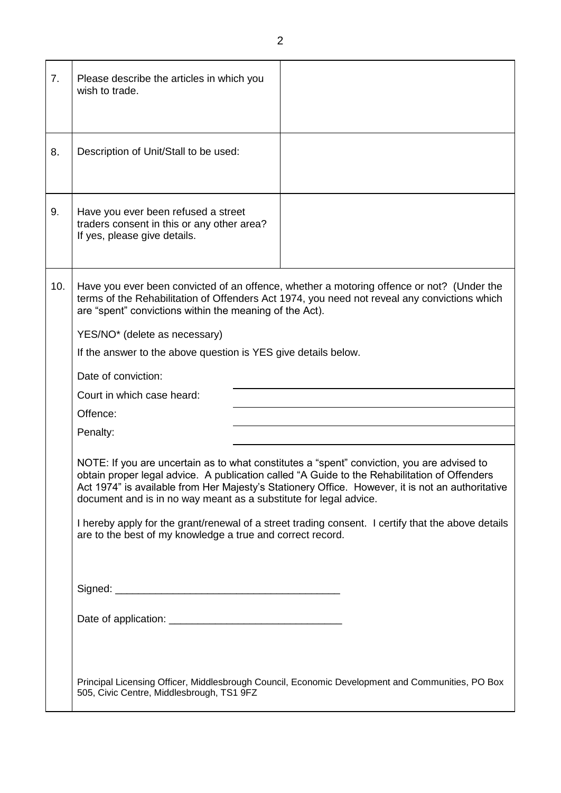| 7.  | Please describe the articles in which you<br>wish to trade.                                                                                                                                                                                                                                                                                                                                                                                                                                                                                                                                                                                                                                                                                                                                                                                                                                                                                                                     |  |  |  |  |
|-----|---------------------------------------------------------------------------------------------------------------------------------------------------------------------------------------------------------------------------------------------------------------------------------------------------------------------------------------------------------------------------------------------------------------------------------------------------------------------------------------------------------------------------------------------------------------------------------------------------------------------------------------------------------------------------------------------------------------------------------------------------------------------------------------------------------------------------------------------------------------------------------------------------------------------------------------------------------------------------------|--|--|--|--|
| 8.  | Description of Unit/Stall to be used:                                                                                                                                                                                                                                                                                                                                                                                                                                                                                                                                                                                                                                                                                                                                                                                                                                                                                                                                           |  |  |  |  |
| 9.  | Have you ever been refused a street<br>traders consent in this or any other area?<br>If yes, please give details.                                                                                                                                                                                                                                                                                                                                                                                                                                                                                                                                                                                                                                                                                                                                                                                                                                                               |  |  |  |  |
| 10. | Have you ever been convicted of an offence, whether a motoring offence or not? (Under the<br>terms of the Rehabilitation of Offenders Act 1974, you need not reveal any convictions which<br>are "spent" convictions within the meaning of the Act).<br>YES/NO* (delete as necessary)<br>If the answer to the above question is YES give details below.<br>Date of conviction:<br>Court in which case heard:<br>Offence:<br>Penalty:<br>NOTE: If you are uncertain as to what constitutes a "spent" conviction, you are advised to<br>obtain proper legal advice. A publication called "A Guide to the Rehabilitation of Offenders<br>Act 1974" is available from Her Majesty's Stationery Office. However, it is not an authoritative<br>document and is in no way meant as a substitute for legal advice.<br>I hereby apply for the grant/renewal of a street trading consent. I certify that the above details<br>are to the best of my knowledge a true and correct record. |  |  |  |  |
|     | Principal Licensing Officer, Middlesbrough Council, Economic Development and Communities, PO Box<br>505, Civic Centre, Middlesbrough, TS1 9FZ                                                                                                                                                                                                                                                                                                                                                                                                                                                                                                                                                                                                                                                                                                                                                                                                                                   |  |  |  |  |